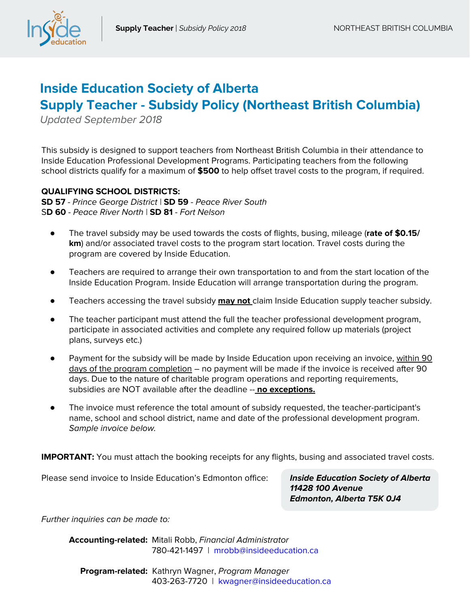

# **Inside Education Society of Alberta Supply Teacher - Subsidy Policy (Northeast British Columbia)**

Updated September 2018

This subsidy is designed to support teachers from Northeast British Columbia in their attendance to Inside Education Professional Development Programs. Participating teachers from the following school districts qualify for a maximum of **\$500** to help offset travel costs to the program, if required.

#### **QUALIFYING SCHOOL DISTRICTS:**

**SD 57** - Prince George District | **SD 59** - Peace River South S**D 60** - Peace River North | **SD 81** - Fort Nelson

- The travel subsidy may be used towards the costs of flights, busing, mileage (**rate of \$0.15/ km**) and/or associated travel costs to the program start location. Travel costs during the program are covered by Inside Education.
- Teachers are required to arrange their own transportation to and from the start location of the Inside Education Program. Inside Education will arrange transportation during the program.
- Teachers accessing the travel subsidy **may not** claim Inside Education supply teacher subsidy.
- The teacher participant must attend the full the teacher professional development program, participate in associated activities and complete any required follow up materials (project plans, surveys etc.)
- Payment for the subsidy will be made by Inside Education upon receiving an invoice, within 90 days of the program completion – no payment will be made if the invoice is received after 90 days. Due to the nature of charitable program operations and reporting requirements, subsidies are NOT available after the deadline -- **no exceptions.**
- The invoice must reference the total amount of subsidy requested, the teacher-participant's name, school and school district, name and date of the professional development program. Sample invoice below.

**IMPORTANT:** You must attach the booking receipts for any flights, busing and associated travel costs.

Please send invoice to Inside Education's Edmonton office: **Inside Education Society of Alberta**

**11428 100 Avenue Edmonton, Alberta T5K 0J4**

Further inquiries can be made to:

**Accounting-related:** Mitali Robb, Financial Administrator 780-421-1497 | mrobb@insideeducation.ca

 **Program-related:** Kathryn Wagner, Program Manager 403-263-7720 | kwagner@insideeducation.ca